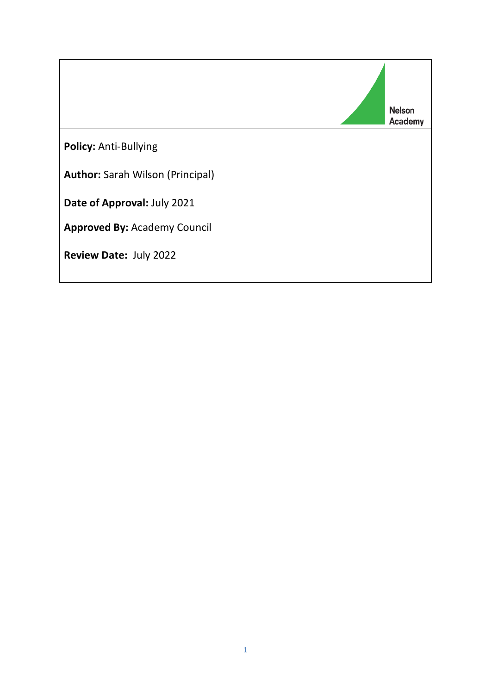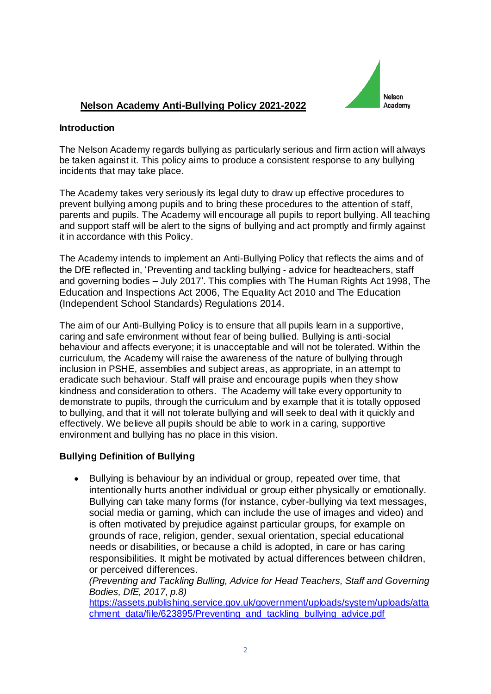

# **Nelson Academy Anti-Bullying Policy 2021-2022**

### **Introduction**

The Nelson Academy regards bullying as particularly serious and firm action will always be taken against it. This policy aims to produce a consistent response to any bullying incidents that may take place.

The Academy takes very seriously its legal duty to draw up effective procedures to prevent bullying among pupils and to bring these procedures to the attention of staff, parents and pupils. The Academy will encourage all pupils to report bullying. All teaching and support staff will be alert to the signs of bullying and act promptly and firmly against it in accordance with this Policy.

The Academy intends to implement an Anti-Bullying Policy that reflects the aims and of the DfE reflected in, 'Preventing and tackling bullying - advice for headteachers, staff and governing bodies – July 2017'. This complies with The Human Rights Act 1998, The Education and Inspections Act 2006, The Equality Act 2010 and The Education (Independent School Standards) Regulations 2014.

The aim of our Anti-Bullying Policy is to ensure that all pupils learn in a supportive, caring and safe environment without fear of being bullied. Bullying is anti-social behaviour and affects everyone; it is unacceptable and will not be tolerated. Within the curriculum, the Academy will raise the awareness of the nature of bullying through inclusion in PSHE, assemblies and subject areas, as appropriate, in an attempt to eradicate such behaviour. Staff will praise and encourage pupils when they show kindness and consideration to others. The Academy will take every opportunity to demonstrate to pupils, through the curriculum and by example that it is totally opposed to bullying, and that it will not tolerate bullying and will seek to deal with it quickly and effectively. We believe all pupils should be able to work in a caring, supportive environment and bullying has no place in this vision.

## **Bullying Definition of Bullying**

• Bullying is behaviour by an individual or group, repeated over time, that intentionally hurts another individual or group either physically or emotionally. Bullying can take many forms (for instance, cyber-bullying via text messages, social media or gaming, which can include the use of images and video) and is often motivated by prejudice against particular groups, for example on grounds of race, religion, gender, sexual orientation, special educational needs or disabilities, or because a child is adopted, in care or has caring responsibilities. It might be motivated by actual differences between children, or perceived differences.

*(Preventing and Tackling Bulling, Advice for Head Teachers, Staff and Governing Bodies, DfE, 2017, p.8)*

[https://assets.publishing.service.gov.uk/government/uploads/system/uploads/atta](https://assets.publishing.service.gov.uk/government/uploads/system/uploads/attachment_data/file/623895/Preventing_and_tackling_bullying_advice.pdf) [chment\\_data/file/623895/Preventing\\_and\\_tackling\\_bullying\\_advice.pdf](https://assets.publishing.service.gov.uk/government/uploads/system/uploads/attachment_data/file/623895/Preventing_and_tackling_bullying_advice.pdf)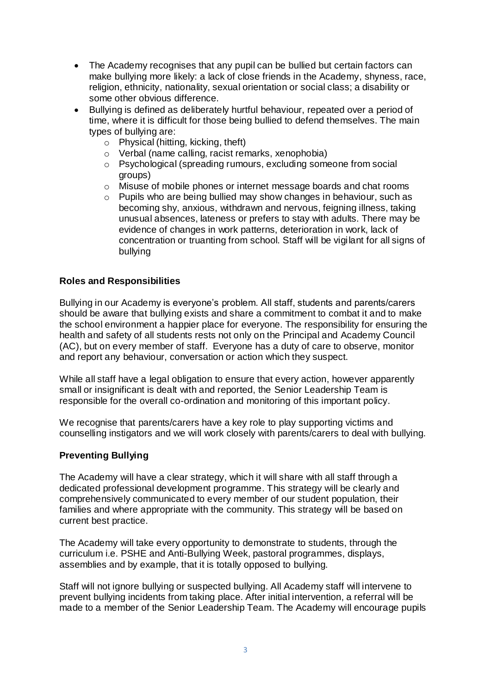- The Academy recognises that any pupil can be bullied but certain factors can make bullying more likely: a lack of close friends in the Academy, shyness, race, religion, ethnicity, nationality, sexual orientation or social class; a disability or some other obvious difference.
- Bullying is defined as deliberately hurtful behaviour, repeated over a period of time, where it is difficult for those being bullied to defend themselves. The main types of bullying are:
	- o Physical (hitting, kicking, theft)
	- o Verbal (name calling, racist remarks, xenophobia)
	- o Psychological (spreading rumours, excluding someone from social groups)
	- o Misuse of mobile phones or internet message boards and chat rooms
	- o Pupils who are being bullied may show changes in behaviour, such as becoming shy, anxious, withdrawn and nervous, feigning illness, taking unusual absences, lateness or prefers to stay with adults. There may be evidence of changes in work patterns, deterioration in work, lack of concentration or truanting from school. Staff will be vigilant for all signs of bullying

### **Roles and Responsibilities**

Bullying in our Academy is everyone's problem. All staff, students and parents/carers should be aware that bullying exists and share a commitment to combat it and to make the school environment a happier place for everyone. The responsibility for ensuring the health and safety of all students rests not only on the Principal and Academy Council (AC), but on every member of staff. Everyone has a duty of care to observe, monitor and report any behaviour, conversation or action which they suspect.

While all staff have a legal obligation to ensure that every action, however apparently small or insignificant is dealt with and reported, the Senior Leadership Team is responsible for the overall co-ordination and monitoring of this important policy.

We recognise that parents/carers have a key role to play supporting victims and counselling instigators and we will work closely with parents/carers to deal with bullying.

#### **Preventing Bullying**

The Academy will have a clear strategy, which it will share with all staff through a dedicated professional development programme. This strategy will be clearly and comprehensively communicated to every member of our student population, their families and where appropriate with the community. This strategy will be based on current best practice.

The Academy will take every opportunity to demonstrate to students, through the curriculum i.e. PSHE and Anti-Bullying Week, pastoral programmes, displays, assemblies and by example, that it is totally opposed to bullying.

Staff will not ignore bullying or suspected bullying. All Academy staff will intervene to prevent bullying incidents from taking place. After initial intervention, a referral will be made to a member of the Senior Leadership Team. The Academy will encourage pupils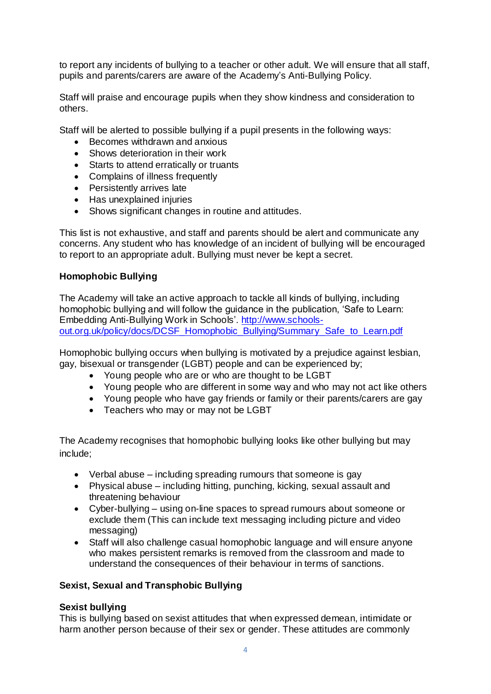to report any incidents of bullying to a teacher or other adult. We will ensure that all staff, pupils and parents/carers are aware of the Academy's Anti-Bullying Policy.

Staff will praise and encourage pupils when they show kindness and consideration to others.

Staff will be alerted to possible bullying if a pupil presents in the following ways:

- Becomes withdrawn and anxious
- Shows deterioration in their work
- Starts to attend erratically or truants
- Complains of illness frequently
- Persistently arrives late
- Has unexplained injuries
- Shows significant changes in routine and attitudes.

This list is not exhaustive, and staff and parents should be alert and communicate any concerns. Any student who has knowledge of an incident of bullying will be encouraged to report to an appropriate adult. Bullying must never be kept a secret.

#### **Homophobic Bullying**

The Academy will take an active approach to tackle all kinds of bullying, including homophobic bullying and will follow the guidance in the publication, 'Safe to Learn: Embedding Anti-Bullying Work in Schools'. [http://www.schools](http://www.schools-out.org.uk/policy/docs/DCSF_Homophobic_Bullying/Summary_Safe_to_Learn.pdf)[out.org.uk/policy/docs/DCSF\\_Homophobic\\_Bullying/Summary\\_Safe\\_to\\_Learn.pdf](http://www.schools-out.org.uk/policy/docs/DCSF_Homophobic_Bullying/Summary_Safe_to_Learn.pdf)

Homophobic bullying occurs when bullying is motivated by a prejudice against lesbian, gay, bisexual or transgender (LGBT) people and can be experienced by;

- Young people who are or who are thought to be LGBT
- Young people who are different in some way and who may not act like others
- Young people who have gay friends or family or their parents/carers are gay
- Teachers who may or may not be LGBT

The Academy recognises that homophobic bullying looks like other bullying but may include;

- Verbal abuse including spreading rumours that someone is gay
- Physical abuse including hitting, punching, kicking, sexual assault and threatening behaviour
- Cyber-bullying using on-line spaces to spread rumours about someone or exclude them (This can include text messaging including picture and video messaging)
- Staff will also challenge casual homophobic language and will ensure anyone who makes persistent remarks is removed from the classroom and made to understand the consequences of their behaviour in terms of sanctions.

## **Sexist, Sexual and Transphobic Bullying**

#### **Sexist bullying**

This is bullying based on sexist attitudes that when expressed demean, intimidate or harm another person because of their sex or gender. These attitudes are commonly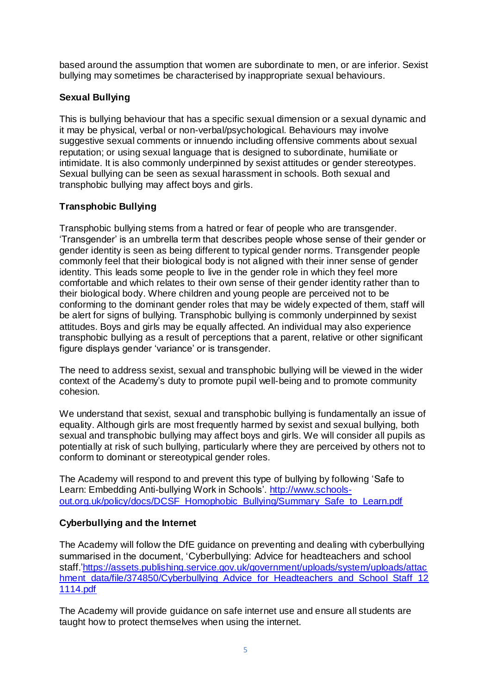based around the assumption that women are subordinate to men, or are inferior. Sexist bullying may sometimes be characterised by inappropriate sexual behaviours.

# **Sexual Bullying**

This is bullying behaviour that has a specific sexual dimension or a sexual dynamic and it may be physical, verbal or non-verbal/psychological. Behaviours may involve suggestive sexual comments or innuendo including offensive comments about sexual reputation; or using sexual language that is designed to subordinate, humiliate or intimidate. It is also commonly underpinned by sexist attitudes or gender stereotypes. Sexual bullying can be seen as sexual harassment in schools. Both sexual and transphobic bullying may affect boys and girls.

# **Transphobic Bullying**

Transphobic bullying stems from a hatred or fear of people who are transgender. 'Transgender' is an umbrella term that describes people whose sense of their gender or gender identity is seen as being different to typical gender norms. Transgender people commonly feel that their biological body is not aligned with their inner sense of gender identity. This leads some people to live in the gender role in which they feel more comfortable and which relates to their own sense of their gender identity rather than to their biological body. Where children and young people are perceived not to be conforming to the dominant gender roles that may be widely expected of them, staff will be alert for signs of bullying. Transphobic bullying is commonly underpinned by sexist attitudes. Boys and girls may be equally affected. An individual may also experience transphobic bullying as a result of perceptions that a parent, relative or other significant figure displays gender 'variance' or is transgender.

The need to address sexist, sexual and transphobic bullying will be viewed in the wider context of the Academy's duty to promote pupil well-being and to promote community cohesion.

We understand that sexist, sexual and transphobic bullying is fundamentally an issue of equality. Although girls are most frequently harmed by sexist and sexual bullying, both sexual and transphobic bullying may affect boys and girls. We will consider all pupils as potentially at risk of such bullying, particularly where they are perceived by others not to conform to dominant or stereotypical gender roles.

The Academy will respond to and prevent this type of bullying by following 'Safe to Learn: Embedding Anti-bullying Work in Schools'. [http://www.schools](http://www.schools-out.org.uk/policy/docs/DCSF_Homophobic_Bullying/Summary_Safe_to_Learn.pdf)[out.org.uk/policy/docs/DCSF\\_Homophobic\\_Bullying/Summary\\_Safe\\_to\\_Learn.pdf](http://www.schools-out.org.uk/policy/docs/DCSF_Homophobic_Bullying/Summary_Safe_to_Learn.pdf)

## **Cyberbullying and the Internet**

The Academy will follow the DfE guidance on preventing and dealing with cyberbullying summarised in the document, 'Cyberbullying: Advice for headteachers and school staff[.'https://assets.publishing.service.gov.uk/government/uploads/system/uploads/attac](https://assets.publishing.service.gov.uk/government/uploads/system/uploads/attachment_data/file/374850/Cyberbullying_Advice_for_Headteachers_and_School_Staff_121114.pdf) [hment\\_data/file/374850/Cyberbullying\\_Advice\\_for\\_Headteachers\\_and\\_School\\_Staff\\_12](https://assets.publishing.service.gov.uk/government/uploads/system/uploads/attachment_data/file/374850/Cyberbullying_Advice_for_Headteachers_and_School_Staff_121114.pdf) [1114.pdf](https://assets.publishing.service.gov.uk/government/uploads/system/uploads/attachment_data/file/374850/Cyberbullying_Advice_for_Headteachers_and_School_Staff_121114.pdf)

The Academy will provide guidance on safe internet use and ensure all students are taught how to protect themselves when using the internet.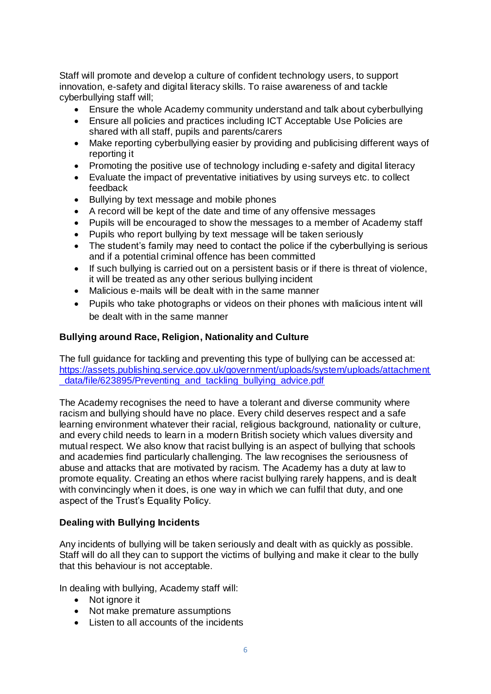Staff will promote and develop a culture of confident technology users, to support innovation, e-safety and digital literacy skills. To raise awareness of and tackle cyberbullying staff will;

- Ensure the whole Academy community understand and talk about cyberbullying
- Ensure all policies and practices including ICT Acceptable Use Policies are shared with all staff, pupils and parents/carers
- Make reporting cyberbullying easier by providing and publicising different ways of reporting it
- Promoting the positive use of technology including e-safety and digital literacy
- Evaluate the impact of preventative initiatives by using surveys etc. to collect feedback
- Bullying by text message and mobile phones
- A record will be kept of the date and time of any offensive messages
- Pupils will be encouraged to show the messages to a member of Academy staff
- Pupils who report bullying by text message will be taken seriously
- The student's family may need to contact the police if the cyberbullying is serious and if a potential criminal offence has been committed
- If such bullying is carried out on a persistent basis or if there is threat of violence, it will be treated as any other serious bullying incident
- Malicious e-mails will be dealt with in the same manner
- Pupils who take photographs or videos on their phones with malicious intent will be dealt with in the same manner

### **Bullying around Race, Religion, Nationality and Culture**

The full guidance for tackling and preventing this type of bullying can be accessed at: [https://assets.publishing.service.gov.uk/government/uploads/system/uploads/attachment](https://assets.publishing.service.gov.uk/government/uploads/system/uploads/attachment_data/file/623895/Preventing_and_tackling_bullying_advice.pdf) data/file/623895/Preventing\_and\_tackling\_bullying\_advice.pdf

The Academy recognises the need to have a tolerant and diverse community where racism and bullying should have no place. Every child deserves respect and a safe learning environment whatever their racial, religious background, nationality or culture, and every child needs to learn in a modern British society which values diversity and mutual respect. We also know that racist bullying is an aspect of bullying that schools and academies find particularly challenging. The law recognises the seriousness of abuse and attacks that are motivated by racism. The Academy has a duty at law to promote equality. Creating an ethos where racist bullying rarely happens, and is dealt with convincingly when it does, is one way in which we can fulfil that duty, and one aspect of the Trust's Equality Policy.

#### **Dealing with Bullying Incidents**

Any incidents of bullying will be taken seriously and dealt with as quickly as possible. Staff will do all they can to support the victims of bullying and make it clear to the bully that this behaviour is not acceptable.

In dealing with bullying, Academy staff will:

- Not ignore it
- Not make premature assumptions
- Listen to all accounts of the incidents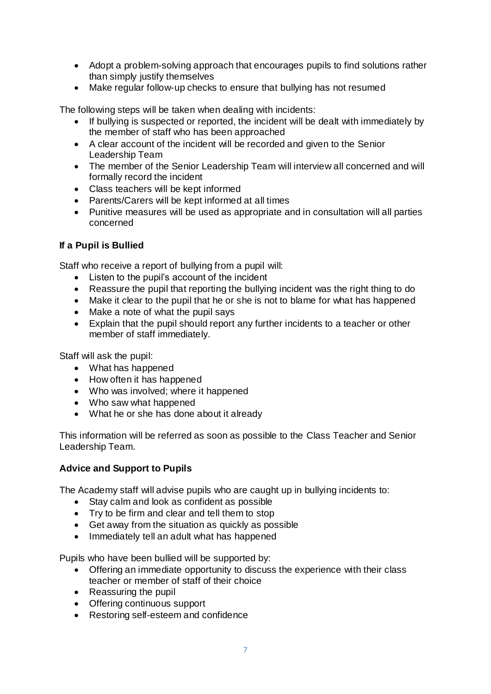- Adopt a problem-solving approach that encourages pupils to find solutions rather than simply justify themselves
- Make regular follow-up checks to ensure that bullying has not resumed

The following steps will be taken when dealing with incidents:

- If bullying is suspected or reported, the incident will be dealt with immediately by the member of staff who has been approached
- A clear account of the incident will be recorded and given to the Senior Leadership Team
- The member of the Senior Leadership Team will interview all concerned and will formally record the incident
- Class teachers will be kept informed
- Parents/Carers will be kept informed at all times
- Punitive measures will be used as appropriate and in consultation will all parties concerned

## **If a Pupil is Bullied**

Staff who receive a report of bullying from a pupil will:

- Listen to the pupil's account of the incident
- Reassure the pupil that reporting the bullying incident was the right thing to do
- Make it clear to the pupil that he or she is not to blame for what has happened
- Make a note of what the pupil says
- Explain that the pupil should report any further incidents to a teacher or other member of staff immediately.

Staff will ask the pupil:

- What has happened
- How often it has happened
- Who was involved; where it happened
- Who saw what happened
- What he or she has done about it already

This information will be referred as soon as possible to the Class Teacher and Senior Leadership Team.

## **Advice and Support to Pupils**

The Academy staff will advise pupils who are caught up in bullying incidents to:

- Stay calm and look as confident as possible
- Try to be firm and clear and tell them to stop
- Get away from the situation as quickly as possible
- Immediately tell an adult what has happened

Pupils who have been bullied will be supported by:

- Offering an immediate opportunity to discuss the experience with their class teacher or member of staff of their choice
- Reassuring the pupil
- Offering continuous support
- Restoring self-esteem and confidence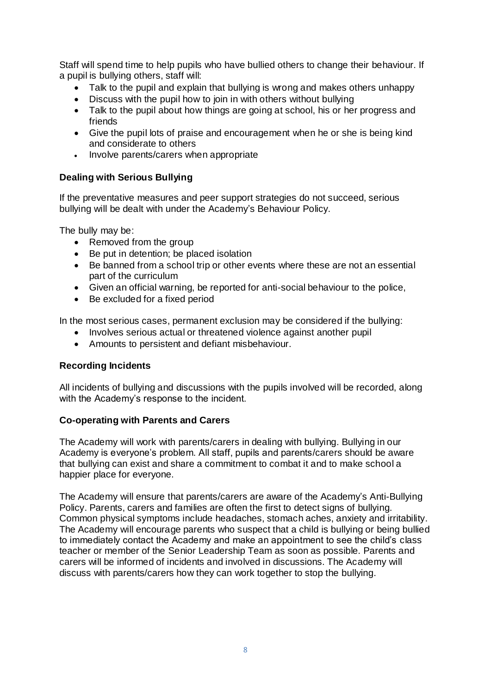Staff will spend time to help pupils who have bullied others to change their behaviour. If a pupil is bullying others, staff will:

- Talk to the pupil and explain that bullying is wrong and makes others unhappy
- Discuss with the pupil how to join in with others without bullying
- Talk to the pupil about how things are going at school, his or her progress and friends
- Give the pupil lots of praise and encouragement when he or she is being kind and considerate to others
- Involve parents/carers when appropriate

## **Dealing with Serious Bullying**

If the preventative measures and peer support strategies do not succeed, serious bullying will be dealt with under the Academy's Behaviour Policy.

The bully may be:

- Removed from the group
- Be put in detention; be placed isolation
- Be banned from a school trip or other events where these are not an essential part of the curriculum
- Given an official warning, be reported for anti-social behaviour to the police,
- Be excluded for a fixed period

In the most serious cases, permanent exclusion may be considered if the bullying:

- Involves serious actual or threatened violence against another pupil
- Amounts to persistent and defiant misbehaviour.

## **Recording Incidents**

All incidents of bullying and discussions with the pupils involved will be recorded, along with the Academy's response to the incident.

#### **Co-operating with Parents and Carers**

The Academy will work with parents/carers in dealing with bullying. Bullying in our Academy is everyone's problem. All staff, pupils and parents/carers should be aware that bullying can exist and share a commitment to combat it and to make school a happier place for everyone.

The Academy will ensure that parents/carers are aware of the Academy's Anti-Bullying Policy. Parents, carers and families are often the first to detect signs of bullying. Common physical symptoms include headaches, stomach aches, anxiety and irritability. The Academy will encourage parents who suspect that a child is bullying or being bullied to immediately contact the Academy and make an appointment to see the child's class teacher or member of the Senior Leadership Team as soon as possible. Parents and carers will be informed of incidents and involved in discussions. The Academy will discuss with parents/carers how they can work together to stop the bullying.